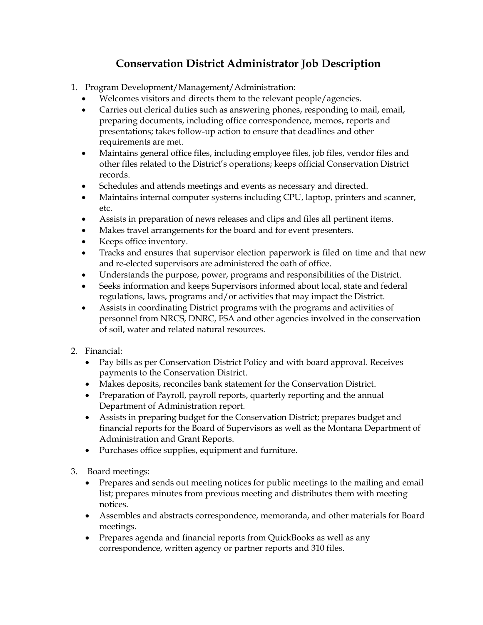## **Conservation District Administrator Job Description**

- 1. Program Development/Management/Administration:
	- Welcomes visitors and directs them to the relevant people/agencies.
	- Carries out clerical duties such as answering phones, responding to mail, email, preparing documents, including office correspondence, memos, reports and presentations; takes follow-up action to ensure that deadlines and other requirements are met.
	- Maintains general office files, including employee files, job files, vendor files and other files related to the District's operations; keeps official Conservation District records.
	- Schedules and attends meetings and events as necessary and directed.
	- Maintains internal computer systems including CPU, laptop, printers and scanner, etc.
	- Assists in preparation of news releases and clips and files all pertinent items.
	- Makes travel arrangements for the board and for event presenters.
	- Keeps office inventory.
	- Tracks and ensures that supervisor election paperwork is filed on time and that new and re-elected supervisors are administered the oath of office.
	- Understands the purpose, power, programs and responsibilities of the District.
	- Seeks information and keeps Supervisors informed about local, state and federal regulations, laws, programs and/or activities that may impact the District.
	- Assists in coordinating District programs with the programs and activities of personnel from NRCS, DNRC, FSA and other agencies involved in the conservation of soil, water and related natural resources.
- 2. Financial:
	- Pay bills as per Conservation District Policy and with board approval. Receives payments to the Conservation District.
	- Makes deposits, reconciles bank statement for the Conservation District.
	- Preparation of Payroll, payroll reports, quarterly reporting and the annual Department of Administration report.
	- Assists in preparing budget for the Conservation District; prepares budget and financial reports for the Board of Supervisors as well as the Montana Department of Administration and Grant Reports.
	- Purchases office supplies, equipment and furniture.
- 3. Board meetings:
	- Prepares and sends out meeting notices for public meetings to the mailing and email list; prepares minutes from previous meeting and distributes them with meeting notices.
	- Assembles and abstracts correspondence, memoranda, and other materials for Board meetings.
	- Prepares agenda and financial reports from QuickBooks as well as any correspondence, written agency or partner reports and 310 files.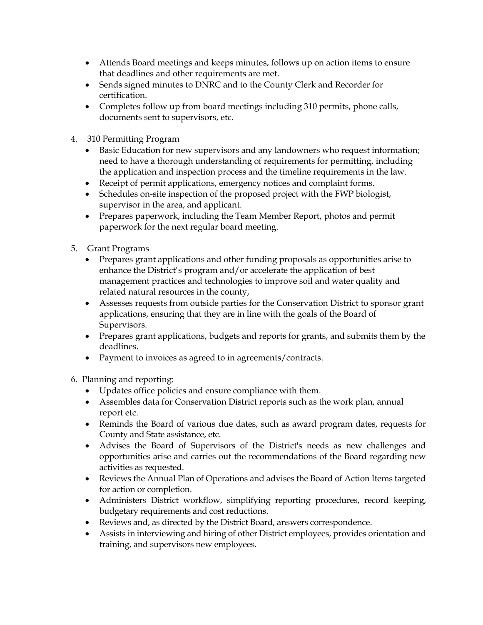- Attends Board meetings and keeps minutes, follows up on action items to ensure that deadlines and other requirements are met.
- Sends signed minutes to DNRC and to the County Clerk and Recorder for certification.
- Completes follow up from board meetings including 310 permits, phone calls, documents sent to supervisors, etc.
- 4. 310 Permitting Program
	- Basic Education for new supervisors and any landowners who request information; need to have a thorough understanding of requirements for permitting, including the application and inspection process and the timeline requirements in the law.
	- Receipt of permit applications, emergency notices and complaint forms.
	- Schedules on-site inspection of the proposed project with the FWP biologist, supervisor in the area, and applicant.
	- Prepares paperwork, including the Team Member Report, photos and permit paperwork for the next regular board meeting.
- 5. Grant Programs
	- Prepares grant applications and other funding proposals as opportunities arise to enhance the District's program and/or accelerate the application of best management practices and technologies to improve soil and water quality and related natural resources in the county,
	- Assesses requests from outside parties for the Conservation District to sponsor grant applications, ensuring that they are in line with the goals of the Board of Supervisors.
	- Prepares grant applications, budgets and reports for grants, and submits them by the deadlines.
	- Payment to invoices as agreed to in agreements/contracts.

6. Planning and reporting:

- Updates office policies and ensure compliance with them.
- Assembles data for Conservation District reports such as the work plan, annual report etc.
- Reminds the Board of various due dates, such as award program dates, requests for County and State assistance, etc.
- Advises the Board of Supervisors of the District's needs as new challenges and opportunities arise and carries out the recommendations of the Board regarding new activities as requested.
- Reviews the Annual Plan of Operations and advises the Board of Action Items targeted for action or completion.
- Administers District workflow, simplifying reporting procedures, record keeping, budgetary requirements and cost reductions.
- Reviews and, as directed by the District Board, answers correspondence.
- Assists in interviewing and hiring of other District employees, provides orientation and training, and supervisors new employees.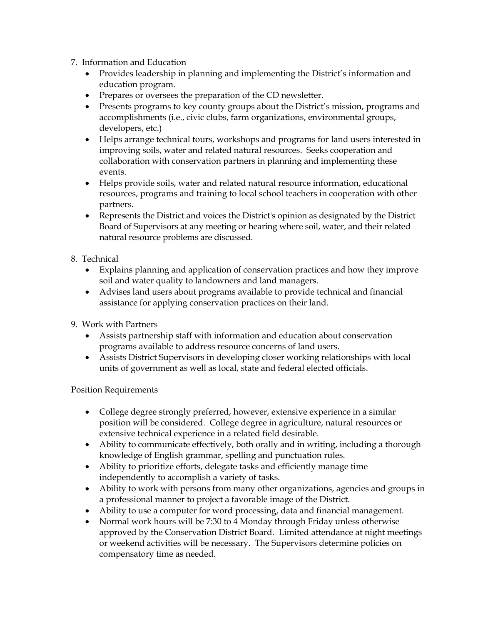- 7. Information and Education
	- Provides leadership in planning and implementing the District's information and education program.
	- Prepares or oversees the preparation of the CD newsletter.
	- Presents programs to key county groups about the District's mission, programs and accomplishments (i.e., civic clubs, farm organizations, environmental groups, developers, etc.)
	- Helps arrange technical tours, workshops and programs for land users interested in improving soils, water and related natural resources. Seeks cooperation and collaboration with conservation partners in planning and implementing these events.
	- Helps provide soils, water and related natural resource information, educational resources, programs and training to local school teachers in cooperation with other partners.
	- Represents the District and voices the District's opinion as designated by the District Board of Supervisors at any meeting or hearing where soil, water, and their related natural resource problems are discussed.

## 8. Technical

- Explains planning and application of conservation practices and how they improve soil and water quality to landowners and land managers.
- Advises land users about programs available to provide technical and financial assistance for applying conservation practices on their land.
- 9. Work with Partners
	- Assists partnership staff with information and education about conservation programs available to address resource concerns of land users.
	- Assists District Supervisors in developing closer working relationships with local units of government as well as local, state and federal elected officials.

## Position Requirements

- College degree strongly preferred, however, extensive experience in a similar position will be considered. College degree in agriculture, natural resources or extensive technical experience in a related field desirable.
- Ability to communicate effectively, both orally and in writing, including a thorough knowledge of English grammar, spelling and punctuation rules.
- Ability to prioritize efforts, delegate tasks and efficiently manage time independently to accomplish a variety of tasks.
- Ability to work with persons from many other organizations, agencies and groups in a professional manner to project a favorable image of the District.
- Ability to use a computer for word processing, data and financial management.
- Normal work hours will be 7:30 to 4 Monday through Friday unless otherwise approved by the Conservation District Board. Limited attendance at night meetings or weekend activities will be necessary. The Supervisors determine policies on compensatory time as needed.